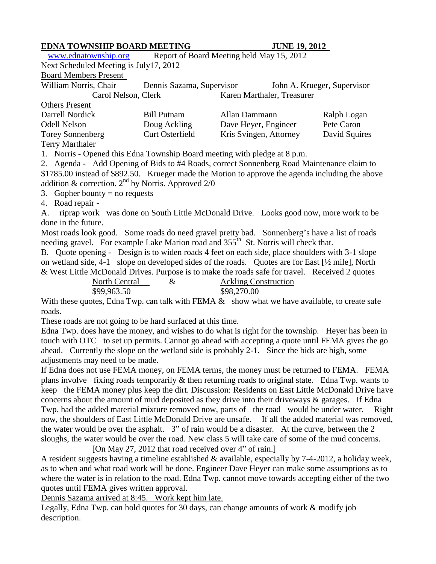## **EDNA TOWNSHIP BOARD MEETING JUNE 19, 2012**

[www.ednatownship.org](http://www.ednatownship.org/) Report of Board Meeting held May 15, 2012

Next Scheduled Meeting is July17, 2012

## Board Members Present

William Norris, Chair Dennis Sazama, Supervisor John A. Krueger, Supervisor Carol Nelson, Clerk Karen Marthaler, Treasurer Others Present Darrell Nordick Bill Putnam Allan Dammann Ralph Logan

| Darrell Nordick         | Bill Putnam     | Allan Dammann          | Raiph Logan   |
|-------------------------|-----------------|------------------------|---------------|
| Odell Nelson            | Doug Ackling    | Dave Heyer, Engineer   | Pete Caron    |
| <b>Torey Sonnenberg</b> | Curt Osterfield | Kris Svingen, Attorney | David Squires |
| <b>Terry Marthaler</b>  |                 |                        |               |

1. Norris - Opened this Edna Township Board meeting with pledge at 8 p.m.

2. Agenda - Add Opening of Bids to #4 Roads, correct Sonnenberg Road Maintenance claim to

\$1785.00 instead of \$892.50. Krueger made the Motion to approve the agenda including the above

addition & correction.  $2<sup>nd</sup>$  by Norris. Approved 2/0

3. Gopher bounty  $=$  no requests

4. Road repair -

A. riprap work was done on South Little McDonald Drive. Looks good now, more work to be done in the future.

Most roads look good. Some roads do need gravel pretty bad. Sonnenberg's have a list of roads needing gravel. For example Lake Marion road and 355<sup>th</sup> St. Norris will check that.

B. Quote opening - Design is to widen roads 4 feet on each side, place shoulders with 3-1 slope on wetland side, 4-1 slope on developed sides of the roads. Quotes are for East [½ mile], North & West Little McDonald Drives. Purpose is to make the roads safe for travel. Received 2 quotes

| North Central | <b>Ackling Construction</b> |
|---------------|-----------------------------|
| \$99,963.50   | \$98,270.00                 |

With these quotes, Edna Twp. can talk with FEMA  $\&$  show what we have available, to create safe roads.

These roads are not going to be hard surfaced at this time.

Edna Twp. does have the money, and wishes to do what is right for the township. Heyer has been in touch with OTC to set up permits. Cannot go ahead with accepting a quote until FEMA gives the go ahead. Currently the slope on the wetland side is probably 2-1. Since the bids are high, some adjustments may need to be made.

If Edna does not use FEMA money, on FEMA terms, the money must be returned to FEMA. FEMA plans involve fixing roads temporarily & then returning roads to original state. Edna Twp. wants to keep the FEMA money plus keep the dirt. Discussion: Residents on East Little McDonald Drive have concerns about the amount of mud deposited as they drive into their driveways & garages. If Edna Twp. had the added material mixture removed now, parts of the road would be under water. Right now, the shoulders of East Little McDonald Drive are unsafe. If all the added material was removed, the water would be over the asphalt. 3" of rain would be a disaster. At the curve, between the 2 sloughs, the water would be over the road. New class 5 will take care of some of the mud concerns.

[On May 27, 2012 that road received over 4" of rain.]

A resident suggests having a timeline established & available, especially by 7-4-2012, a holiday week, as to when and what road work will be done. Engineer Dave Heyer can make some assumptions as to where the water is in relation to the road. Edna Twp. cannot move towards accepting either of the two quotes until FEMA gives written approval.

Dennis Sazama arrived at 8:45. Work kept him late.

Legally, Edna Twp. can hold quotes for 30 days, can change amounts of work & modify job description.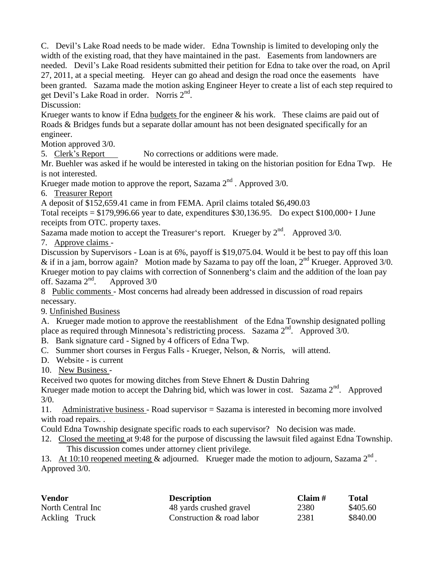C. Devil's Lake Road needs to be made wider. Edna Township is limited to developing only the width of the existing road, that they have maintained in the past. Easements from landowners are needed. Devil's Lake Road residents submitted their petition for Edna to take over the road, on April 27, 2011, at a special meeting. Heyer can go ahead and design the road once the easements have been granted. Sazama made the motion asking Engineer Heyer to create a list of each step required to get Devil's Lake Road in order. Norris 2<sup>nd</sup>.

Discussion:

Krueger wants to know if Edna budgets for the engineer  $\&$  his work. These claims are paid out of Roads & Bridges funds but a separate dollar amount has not been designated specifically for an engineer.

Motion approved 3/0.

5. Clerk's Report No corrections or additions were made.

Mr. Buehler was asked if he would be interested in taking on the historian position for Edna Twp. He is not interested.

Krueger made motion to approve the report, Sazama  $2<sup>nd</sup>$ . Approved 3/0.

6. Treasurer Report

A deposit of \$152,659.41 came in from FEMA. April claims totaled \$6,490.03

Total receipts  $= $179,996.66$  year to date, expenditures \$30,136.95. Do expect \$100,000+ I June receipts from OTC. property taxes.

Sazama made motion to accept the Treasurer's report. Krueger by  $2<sup>nd</sup>$ . Approved 3/0.

7. Approve claims -

Discussion by Supervisors - Loan is at 6%, payoff is \$19,075.04. Would it be best to pay off this loan & if in a jam, borrow again? Motion made by Sazama to pay off the loan,  $2<sup>nd</sup>$  Krueger. Approved 3/0. Krueger motion to pay claims with correction of Sonnenberg's claim and the addition of the loan pay off. Sazama  $2<sup>nd</sup>$ . Approved 3/0

8 Public comments - Most concerns had already been addressed in discussion of road repairs necessary.

9. Unfinished Business

A. Krueger made motion to approve the reestablishment of the Edna Township designated polling place as required through Minnesota's redistricting process. Sazama 2<sup>nd</sup>. Approved 3/0.

B. Bank signature card - Signed by 4 officers of Edna Twp.

C. Summer short courses in Fergus Falls - Krueger, Nelson, & Norris, will attend.

D. Website - is current

10. New Business -

Received two quotes for mowing ditches from Steve Ehnert & Dustin Dahring

Krueger made motion to accept the Dahring bid, which was lower in cost. Sazama 2<sup>nd</sup>. Approved 3/0.

11. Administrative business - Road supervisor = Sazama is interested in becoming more involved with road repairs. .

Could Edna Township designate specific roads to each supervisor? No decision was made.

12. Closed the meeting at 9:48 for the purpose of discussing the lawsuit filed against Edna Township. This discussion comes under attorney client privilege.

13. At 10:10 reopened meeting & adjourned. Krueger made the motion to adjourn, Sazama  $2^{nd}$ . Approved 3/0.

| <b>Vendor</b><br><b>Description</b> |                           | Claim # | <b>Total</b> |  |
|-------------------------------------|---------------------------|---------|--------------|--|
| North Central Inc                   | 48 yards crushed gravel   | 2380    | \$405.60     |  |
| Ackling Truck                       | Construction & road labor | 2381    | \$840.00     |  |